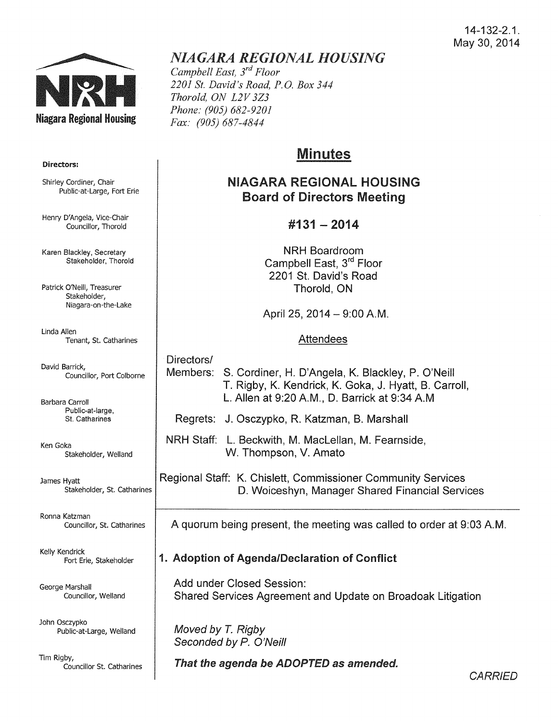### 14-132-2.1. May 30, 2014



# *NIAGARA REGIONAL HOUSING*

*Campbell East, 3rd Floor 2201 St. David's Road, P.O. Box 344 Thorold, ON L2V 3Z3 Phone: (905) 682-9201 Fax: (905) 687-4844* 

## Minutes

## NIAGARA REGIONAL HOUSING Board of Directors Meeting

### #131- 2014

NRH Boardroom Campbell East, 3rd Floor 2201 St. David's Road Thorold, ON

April 25, 2014 - 9:00 A.M.

#### Attendees

## Directors/

Members: S. Gardiner, H. D'Angela, K. Blackley, P. O'Neill T. Rigby, K. Kendrick, K. Goka, J. Hyatt, B. Carroll, L. Allen at 9:20A.M., D. Barrick at 9:34A.M

Regrets: J. Osczypko, R. Katzman, B. Marshall

NRH Staff: L. Beckwith, M. Maclellan, M. Fearnside, W. Thompson, V. Amato

Regional Staff: K. Chislett, Commissioner Community Services D. Woiceshyn, Manager Shared Financial Services

A quorum being present, the meeting was called to order at 9:03A.M.

### 1. Adoption of Agenda/Declaration of Conflict

Add under Closed Session: Shared Services Agreement and Update on Broadoak Litigation

Moved by T. Rigby Seconded by P. O'Neill

That the agenda be ADOPTED as amended.

**CARRIED** 

#### Directors:

Shirley Cordiner, Chair Public-at-Large, Fort Erie

Henry D'Angela, Vice-Chair Councillor, Thorold

Karen Blackley, Secretary Stakeholder, Thorold

Patrick O'Neill, Treasurer Stakeholder, Niagara-on-the-Lake

Linda Allen Tenant, St. Catharines

David Barrick, Councillor, Port Colborne

Barbara Carroll Public-at-large, St. Catharines

Ken Goka Stakeholder, Weiland

James Hyatt Stakeholder, St. Catharines

Ronna Katzman Councillor, St. Catharines

Kelly Kendrick Fort Erie, Stakeholder

George Marshall Councillor, Weiland

John Osczypko Public-at-Large, Weiland

Tim Rigby, Councillor St. Catharines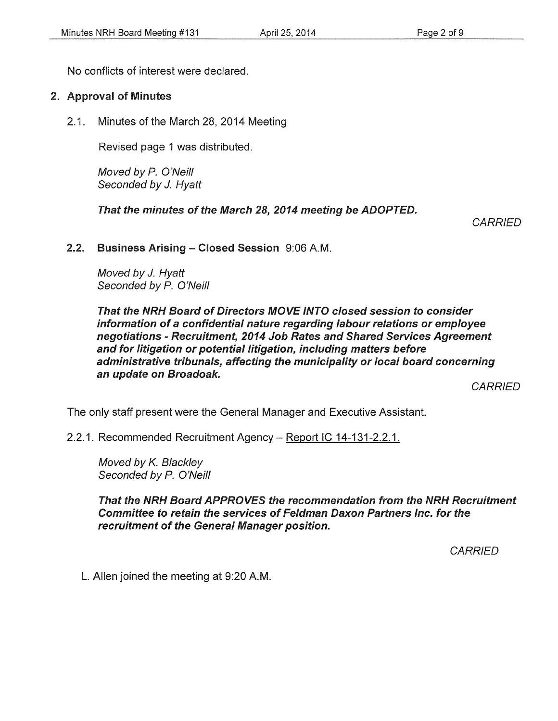No conflicts of interest were declared.

### 2. Approval of Minutes

2.1. Minutes of the March 28, 2014 Meeting

Revised page 1 was distributed.

Moved by P. O'Neill Seconded by J. Hyatt

That the minutes of the March 28, 2014 meeting be ADOPTED.

**CARRIED** 

#### 2.2. Business Arising- Closed Session 9:06A.M.

Moved by J. Hyatt Seconded by P. O'Neill

That the NRH Board of Directors MOVE INTO closed session to consider information of a confidential nature regarding labour relations or employee negotiations- Recruitment, 2014 Job Rates and Shared Services Agreement and for litigation or potential litigation, including matters before administrative tribunals, affecting the municipality or local board concerning an update on Broadoak.

**CARRIED** 

The only staff present were the General Manager and Executive Assistant.

2.2.1. Recommended Recruitment Agency- Report IC 14-131-2.2.1.

Moved by K. Blackley Seconded by P. O'Neill

That the NRH Board APPROVES the recommendation from the NRH Recruitment Committee to retain the services of Feldman Daxon Partners Inc. for the recruitment of the General Manager position.

**CARRIED** 

L. Allen joined the meeting at 9:20A.M.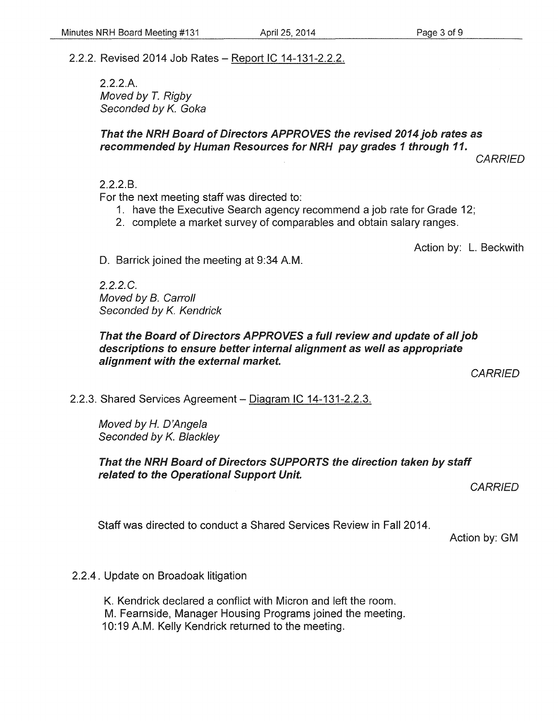## 2.2.2. Revised 2014 Job Rates- Report IC 14-131-2.2.2.

2.2.2.A. Moved by *T.* Rigby Seconded by K. Goka

## That the NRH Board of Directors APPROVES the revised 2014 job rates as recommended by Human Resources for NRH pay grades 1 through 11.

**CARRIED** 

2.2.2.B.

For the next meeting staff was directed to:

- 1. have the Executive Search agency recommend a job rate for Grade 12;
- 2. complete a market survey of comparables and obtain salary ranges.

Action by: L. Beckwith

D. Barrick joined the meeting at 9:34 A.M.

2.2.2.C. Moved by B. Carroll Seconded by K. Kendrick

#### That the Board of Directors APPROVES a full review and update of all job descriptions to ensure better internal alignment as well as appropriate alignment with the external market.

**CARRIED** 

### 2.2.3. Shared Services Agreement- Diagram IC 14-131-2.2.3.

Moved by H. D'Angela Seconded by K. Blackley

#### That the NRH Board of Directors SUPPORTS the direction taken by staff related to the Operational Support Unit.

**CARRIED** 

Staff was directed to conduct a Shared Services Review in Fall 2014.

Action by: GM

#### 2.2.4. Update on Broadoak litigation

K. Kendrick declared a conflict with Micron and left the room. M. Fearnside, Manager Housing Programs joined the meeting. 10:19 A.M. Kelly Kendrick returned to the meeting.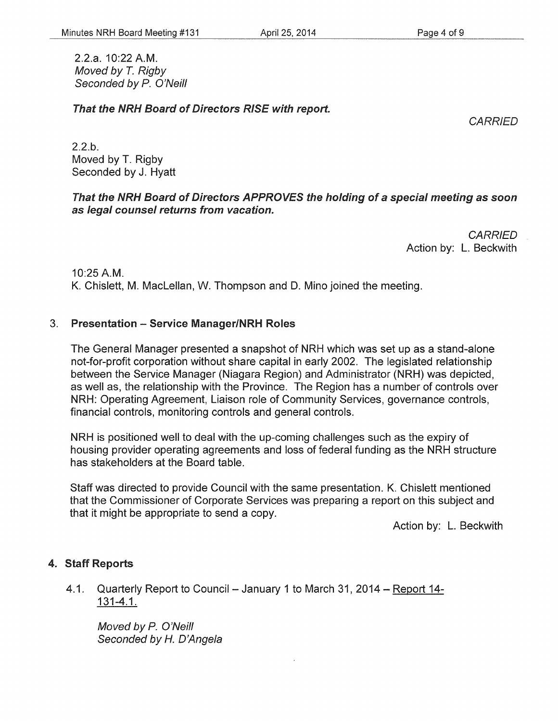2.2.a. 10:22 A.M. Moved by *T.* Rigby Seconded by *P.* O'Neill

That the NRH Board of Directors RISE with report.

**CARRIED** 

2.2.b. Moved by T. Rigby Seconded by J. Hyatt

#### That the NRH Board of Directors APPROVES the holding of a special meeting as soon as legal counsel returns from vacation.

**CARRIED** Action by: L. Beckwith

10:25 A.M.

K. Chislett, M. Maclellan, W. Thompson and D. Mino joined the meeting.

#### 3. Presentation- Service Manager/NRH Roles

The General Manager presented a snapshot of NRH which was set up as a stand-alone not-for-profit corporation without share capital in early 2002. The legislated relationship between the Service Manager (Niagara Region) and Administrator (NRH) was depicted, as well as, the relationship with the Province. The Region has a number of controls over NRH: Operating Agreement, Liaison role of Community Services, governance controls, financial controls, monitoring controls and general controls.

NRH is positioned well to deal with the up-coming challenges such as the expiry of housing provider operating agreements and loss of federal funding as the NRH structure has stakeholders at the Board table.

Staff was directed to provide Council with the same presentation. K. Chislett mentioned that the Commissioner of Corporate Services was preparing a report on this subject and that it might be appropriate to send a copy.

Action by: L. Beckwith

#### 4. Staff Reports

4.1. Quarterly Report to Council - January 1 to March 31, 2014 - Report 14-131-4.1.

Moved by P. O'Neill Seconded by *H.* D'Angela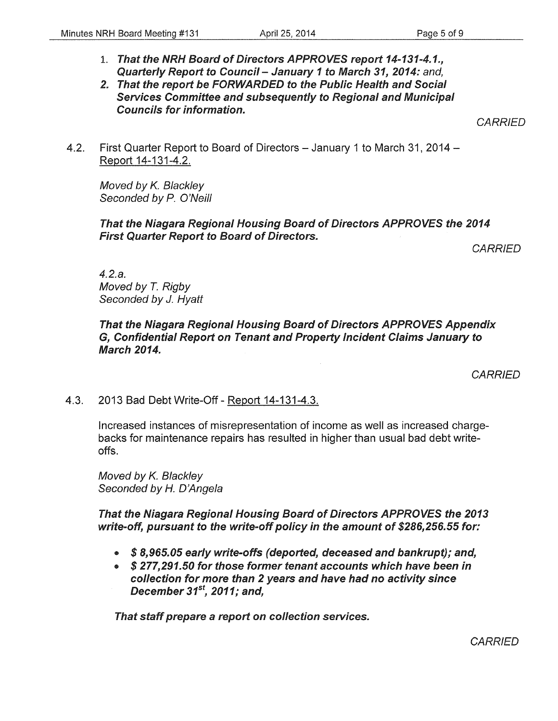1. That the NRH Board of Directors APPROVES report *14-131-4.1.,*  Quarterly Report to Council- January *1* to March *31, 2014:* and,

#### 2. That the report be FORWARDED to the Public Health and Social Services Committee and subsequently to Regional and Municipal Councils for information.

**CARRIED** 

4.2. First Quarter Report to Board of Directors - January 1 to March 31, 2014 -Report 14-131-4.2.

Moved by *K.* Blackley Seconded by *P.* O'Neill

#### That the Niagara Regional Housing Board of Directors APPROVES the *2014*  First Quarter Report to Board of Directors.

**CARRIED** 

4.2.a. Moved by T. Rigby Seconded by J. Hyatt

#### That the Niagara Regional Housing Board of Directors APPROVES Appendix G, Confidential Report on Tenant and Property Incident Claims January to March *2014.*

**CARRIED** 

### 4.3. 2013 Bad Debt Write-Off- Report 14-131-4.3.

Increased instances of misrepresentation of income as well as increased chargebacks for maintenance repairs has resulted in higher than usual bad debt writeoffs.

Moved by *K.* Blackley Seconded by *H.* D'Angela

That the Niagara Regional Housing Board of Directors APPROVES the *2013*  write-off, pursuant to the write-off policy in the amount of *\$286,256.55* for:

- *\$ 8,965.05* early write-offs (deported, deceased and bankrupt); and,
- *\$ 277,291.50* for those former tenant accounts which have been in collection for more than 2 years and have had no activity since December *31st, 2011;* and,

That staff prepare a report on collection services.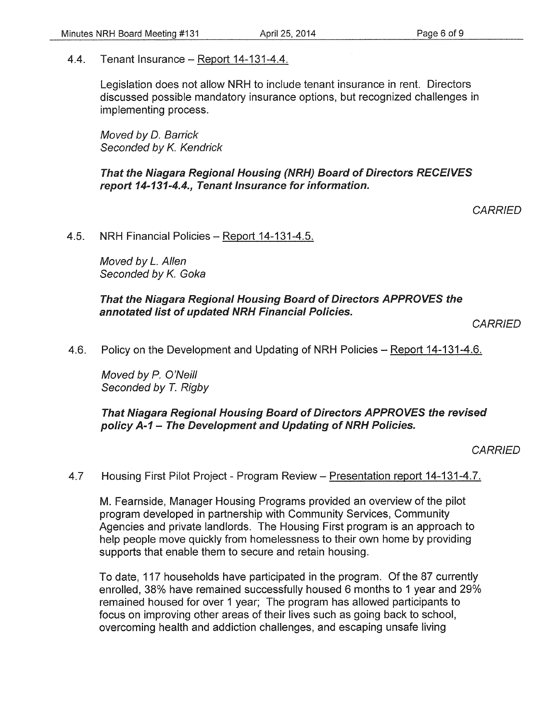4.4. Tenant Insurance- Report 14-131-4.4.

Legislation does not allow NRH to include tenant insurance in rent. Directors discussed possible mandatory insurance options, but recognized challenges in implementing process.

Moved by D. Barrick Seconded by *K.* Kendrick

That the Niagara Regional Housing (NRH) Board of Directors RECEIVES report 14-131-4.4., Tenant Insurance for information.

**CARRIED** 

4.5. NRH Financial Policies- Report 14-131-4.5.

Moved by *L.* Allen Seconded by *K.* Goka

That the Niagara Regional Housing Board of Directors APPROVES the annotated list of updated NRH Financial Policies.

**CARRIED** 

4.6. Policy on the Development and Updating of NRH Policies – Report 14-131-4.6.

Moved by *P.* O'Neill Seconded by T. Rigby

That Niagara Regional Housing Board of Directors APPROVES the revised policy A-1 - The Development and Updating of NRH Policies.

**CARRIED** 

4.7 Housing First Pilot Project- Program Review- Presentation report 14-131-4.7.

M. Fearnside, Manager Housing Programs provided an overview of the pilot program developed in partnership with Community Services, Community Agencies and private landlords. The Housing First program is an approach to help people move quickly from homelessness to their own home by providing supports that enable them to secure and retain housing.

To date, 117 households have participated in the program. Of the 87 currently enrolled, 38% have remained successfully housed 6 months to 1 year and 29% remained housed for over 1 year; The program has allowed participants to focus on improving other areas of their lives such as going back to school, overcoming health and addiction challenges, and escaping unsafe living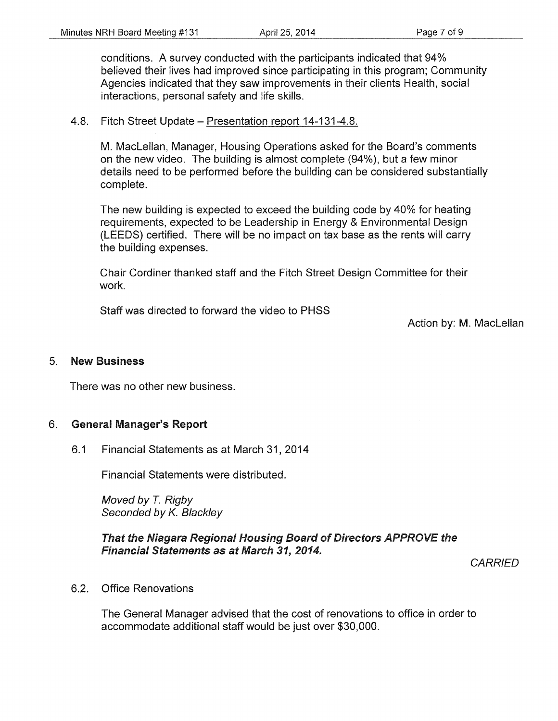conditions. A survey conducted with the participants indicated that 94% believed their lives had improved since participating in this program; Community Agencies indicated that they saw improvements in their clients Health, social interactions, personal safety and life skills.

#### 4.8. Fitch Street Update- Presentation report 14-131-4.8.

M. Maclellan, Manager, Housing Operations asked for the Board's comments on the new video. The building is almost complete (94%), but a few minor details need to be performed before the building can be considered substantially complete.

The new building is expected to exceed the building code by 40% for heating requirements, expected to be Leadership in Energy & Environmental Design (LEEDS) certified. There will be no impact on tax base as the rents will carry the building expenses.

Chair Cordiner thanked staff and the Fitch Street Design Committee for their work.

Staff was directed to forward the video to PHSS

Action by: M. Maclellan

#### 5. New Business

There was no other new business.

#### 6. General Manager's Report

6.1 Financial Statements as at March 31, 2014

Financial Statements were distributed.

Moved by T. Rigby Seconded by K. Blackley

#### That the Niagara Regional Housing Board of Directors APPROVE the Financial Statements as at March 31, 2014.

**CARRIED** 

6.2. Office Renovations

The General Manager advised that the cost of renovations to office in order to accommodate additional staff would be just over \$30,000.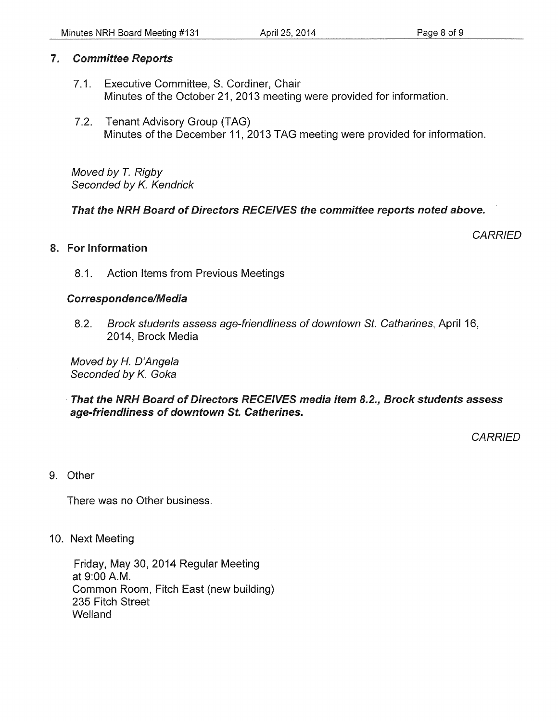## 7. Committee Reports

- 7.1. Executive Committee, S. Cordiner, Chair Minutes of the October 21, 2013 meeting were provided for information.
- 7.2. Tenant Advisory Group (TAG) Minutes of the December 11, 2013 TAG meeting were provided for information.

Moved by *T.* Rigby Seconded by *K.* Kendrick

That the NRH Board of Directors RECEIVES the committee reports noted above.

## 8. For Information

**CARRIED** 

8.1. Action Items from Previous Meetings

#### Correspondence/Media

8.2. Brock students assess age-friendliness of downtown St. Catharines, April 16, 2014, Brock Media

Moved by H. D'Angela Seconded by *K.* Goka

That the NRH Board of Directors RECEIVES media item 8.2., Brock students assess age-friendliness of downtown St. Catherines.

**CARRIED** 

9. Other

There was no Other business.

10. Next Meeting

Friday, May 30, 2014 Regular Meeting at 9:00A.M. Common Room, Fitch East (new building) 235 Fitch Street Welland